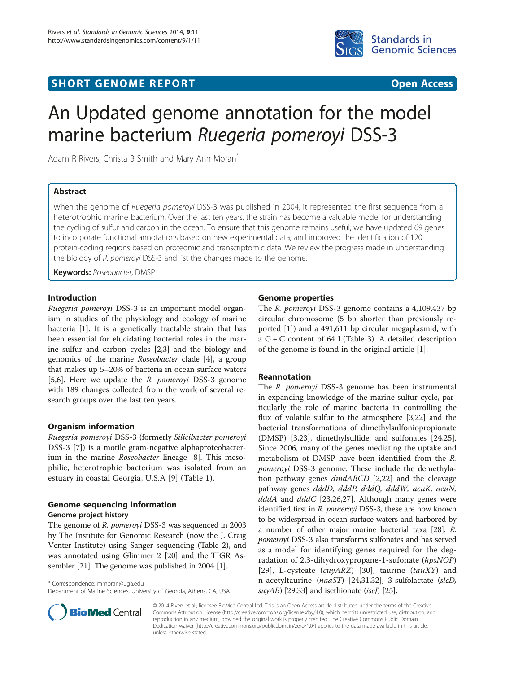## **SHORT GENOME REPORT CONSUMING A READ FOR THE CONSUMING A READ FOR THE CONSUMING A READ FOR THE CONSUMING A REA**



# An Updated genome annotation for the model marine bacterium Ruegeria pomeroyi DSS-3

Adam R Rivers, Christa B Smith and Mary Ann Moran<sup>®</sup>

## Abstract

When the genome of Ruegeria pomeroyi DSS-3 was published in 2004, it represented the first sequence from a heterotrophic marine bacterium. Over the last ten years, the strain has become a valuable model for understanding the cycling of sulfur and carbon in the ocean. To ensure that this genome remains useful, we have updated 69 genes to incorporate functional annotations based on new experimental data, and improved the identification of 120 protein-coding regions based on proteomic and transcriptomic data. We review the progress made in understanding the biology of R. pomeroyi DSS-3 and list the changes made to the genome.

Keywords: Roseobacter, DMSP

## Introduction

[Ruegeria pomeroyi](http://dx.doi.org/10.1601/nm.11006) DSS-3 is an important model organism in studies of the physiology and ecology of marine bacteria [\[1](#page-7-0)]. It is a genetically tractable strain that has been essential for elucidating bacterial roles in the marine sulfur and carbon cycles [\[2,3](#page-7-0)] and the biology and genomics of the marine [Roseobacter](http://dx.doi.org/10.1601/nm.1134) clade [\[4\]](#page-7-0), a group that makes up 5–20% of bacteria in ocean surface waters [[5,6\]](#page-7-0). Here we update the *[R. pomeroyi](http://dx.doi.org/10.1601/nm.11006)* DSS-3 genome with 189 changes collected from the work of several research groups over the last ten years.

## Organism information

[Ruegeria pomeroyi](http://dx.doi.org/10.1601/nm.11006) DSS-3 (formerly [Silicibacter pomeroyi](http://dx.doi.org/10.1601/nm.1152) DSS-3 [\[7](#page-7-0)]) is a motile gram-negative alphaproteobacterium in the marine [Roseobacter](http://dx.doi.org/10.1601/nm.1134) lineage [\[8](#page-7-0)]. This mesophilic, heterotrophic bacterium was isolated from an estuary in coastal Georgia, U.S.A [[9\]](#page-7-0) (Table [1\)](#page-1-0).

# Genome sequencing information

## Genome project history

The genome of [R. pomeroyi](http://dx.doi.org/10.1601/nm.11006) DSS-3 was sequenced in 2003 by The Institute for Genomic Research (now the J. Craig Venter Institute) using Sanger sequencing (Table [2\)](#page-1-0), and was annotated using Glimmer 2 [\[20\]](#page-7-0) and the TIGR Assembler [[21\]](#page-7-0). The genome was published in 2004 [\[1](#page-7-0)].

\* Correspondence: [mmoran@uga.edu](mailto:mmoran@uga.edu)

Department of Marine Sciences, University of Georgia, Athens, GA, USA



#### Genome properties

The *[R. pomeroyi](http://dx.doi.org/10.1601/nm.11006)* DSS-3 genome contains a 4,109,437 bp circular chromosome (5 bp shorter than previously reported [[1\]](#page-7-0)) and a 491,611 bp circular megaplasmid, with a G + C content of 64.1 (Table [3](#page-1-0)). A detailed description of the genome is found in the original article [[1\]](#page-7-0).

#### Reannotation

The [R. pomeroyi](http://dx.doi.org/10.1601/nm.11006) DSS-3 genome has been instrumental in expanding knowledge of the marine sulfur cycle, particularly the role of marine bacteria in controlling the flux of volatile sulfur to the atmosphere [\[3,22](#page-7-0)] and the bacterial transformations of dimethylsulfoniopropionate (DMSP) [[3,](#page-7-0)[23\]](#page-8-0), dimethylsulfide, and sulfonates [\[24,25](#page-8-0)]. Since 2006, many of the genes mediating the uptake and metabolism of DMSP have been identified from the [R.](http://dx.doi.org/10.1601/nm.11006) [pomeroyi](http://dx.doi.org/10.1601/nm.11006) DSS-3 genome. These include the demethylation pathway genes dmdABCD [\[2,22](#page-7-0)] and the cleavage pathway genes dddD, dddP, dddQ, dddW, acuK, acuN,  $dddA$  and  $dddC$  [\[23,26,27\]](#page-8-0). Although many genes were identified first in [R. pomeroyi](http://dx.doi.org/10.1601/nm.11006) DSS-3, these are now known to be widespread in ocean surface waters and harbored by a number of other major marine bacterial taxa [\[28\]](#page-8-0). [R.](http://dx.doi.org/10.1601/nm.11006) [pomeroyi](http://dx.doi.org/10.1601/nm.11006) DSS-3 also transforms sulfonates and has served as a model for identifying genes required for the degradation of 2,3-dihydroxypropane-1-sufonate (hpsNOP) [[29](#page-8-0)], L-cysteate  $(cuyARZ)$  [[30\]](#page-8-0), taurine  $(tauXY)$  and n-acetyltaurine (naaST) [\[24,31,32](#page-8-0)], 3-sulfolactate (slcD,  $suyAB$  [[29,33](#page-8-0)] and isethionate (iseJ) [\[25\]](#page-8-0).

© 2014 Rivers et al.; licensee BioMed Central Ltd. This is an Open Access article distributed under the terms of the Creative Commons Attribution License (http://creativecommons.org/licenses/by/4.0), which permits unrestricted use, distribution, and reproduction in any medium, provided the original work is properly credited. The Creative Commons Public Domain Dedication waiver (http://creativecommons.org/publicdomain/zero/1.0/) applies to the data made available in this article, unless otherwise stated.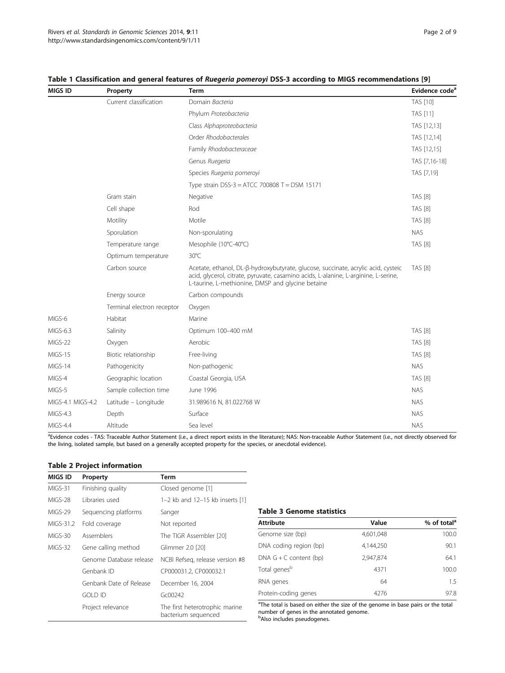| MIGS ID           | Property                   | Term                                                                                                                                                                                                                          | Evidence code <sup>a</sup> |
|-------------------|----------------------------|-------------------------------------------------------------------------------------------------------------------------------------------------------------------------------------------------------------------------------|----------------------------|
|                   | Current classification     | Domain Bacteria                                                                                                                                                                                                               | <b>TAS [10]</b>            |
|                   |                            | Phylum Proteobacteria                                                                                                                                                                                                         | <b>TAS [11]</b>            |
|                   |                            | Class Alphaproteobacteria                                                                                                                                                                                                     | TAS [12,13]                |
|                   |                            | Order Rhodobacterales                                                                                                                                                                                                         | TAS [12,14]                |
|                   |                            | Family Rhodobacteraceae                                                                                                                                                                                                       | TAS [12,15]                |
|                   |                            | Genus Ruegeria                                                                                                                                                                                                                | TAS [7,16-18]              |
|                   |                            | Species Ruegeria pomeroyi                                                                                                                                                                                                     | TAS [7,19]                 |
|                   |                            | Type strain DSS-3 = ATCC 700808 T = DSM 15171                                                                                                                                                                                 |                            |
|                   | Gram stain                 | Negative                                                                                                                                                                                                                      | <b>TAS [8]</b>             |
|                   | Cell shape                 | Rod                                                                                                                                                                                                                           | <b>TAS [8]</b>             |
|                   | Motility                   | Motile                                                                                                                                                                                                                        | <b>TAS [8]</b>             |
|                   | Sporulation                | Non-sporulating                                                                                                                                                                                                               | <b>NAS</b>                 |
|                   | Temperature range          | Mesophile (10°C-40°C)                                                                                                                                                                                                         | <b>TAS [8]</b>             |
|                   | Optimum temperature        | $30^{\circ}$ C                                                                                                                                                                                                                |                            |
|                   | Carbon source              | Acetate, ethanol, DL-ß-hydroxybutyrate, glucose, succinate, acrylic acid, cysteic<br>acid, glycerol, citrate, pyruvate, casamino acids, L-alanine, L-arginine, L-serine,<br>L-taurine, L-methionine, DMSP and glycine betaine | <b>TAS [8]</b>             |
|                   | Energy source              | Carbon compounds                                                                                                                                                                                                              |                            |
|                   | Terminal electron receptor | Oxygen                                                                                                                                                                                                                        |                            |
| MIGS-6            | Habitat                    | Marine                                                                                                                                                                                                                        |                            |
| MIGS-6.3          | Salinity                   | Optimum 100-400 mM                                                                                                                                                                                                            | <b>TAS [8]</b>             |
| MIGS-22           | Oxygen                     | Aerobic                                                                                                                                                                                                                       | <b>TAS [8]</b>             |
| MIGS-15           | Biotic relationship        | Free-living                                                                                                                                                                                                                   | <b>TAS [8]</b>             |
| MIGS-14           | Pathogenicity              | Non-pathogenic                                                                                                                                                                                                                | <b>NAS</b>                 |
| MIGS-4            | Geographic location        | Coastal Georgia, USA                                                                                                                                                                                                          | <b>TAS [8]</b>             |
| MIGS-5            | Sample collection time     | June 1996                                                                                                                                                                                                                     | <b>NAS</b>                 |
| MIGS-4.1 MIGS-4.2 | Latitude - Longitude       | 31.989616 N, 81.022768 W                                                                                                                                                                                                      | <b>NAS</b>                 |
| MIGS-4.3          | Depth                      | Surface                                                                                                                                                                                                                       | <b>NAS</b>                 |
| MIGS-4.4          | Altitude                   | Sea level                                                                                                                                                                                                                     | <b>NAS</b>                 |

## <span id="page-1-0"></span>Table 1 Classification and general features of Ruegeria pomeroyi DSS-3 according to MIGS recommendations [[9\]](#page-7-0)

<sup>a</sup>Evidence codes - TAS: Traceable Author Statement (i.e., a direct report exists in the literature); NAS: Non-traceable Author Statement (i.e., not directly observed for the living, isolated sample, but based on a generally accepted property for the species, or anecdotal evidence).

#### Table 2 Project information

| MIGS ID   | Property                | Term                                                  |
|-----------|-------------------------|-------------------------------------------------------|
| $MIGS-31$ | Finishing quality       | Closed genome [1]                                     |
| MIGS-28   | Libraries used          | 1-2 kb and 12-15 kb inserts [1]                       |
| MIGS-29   | Sequencing platforms    | Sanger                                                |
| MIGS-31.2 | Fold coverage           | Not reported                                          |
| $MIGS-30$ | Assemblers              | The TIGR Assembler [20]                               |
| MIGS-32   | Gene calling method     | Glimmer 2.0 [20]                                      |
|           | Genome Database release | NCBI Refseg, release version #8                       |
|           | Genbank ID              | CP000031.2, CP000032.1                                |
|           | Genbank Date of Release | December 16, 2004                                     |
|           | GOI D ID                | G <sub>C</sub> 00242                                  |
|           | Project relevance       | The first heterotrophic marine<br>bacterium sequenced |

#### Table 3 Genome statistics

| Attribute                | Value     | % of total <sup>a</sup> |
|--------------------------|-----------|-------------------------|
| Genome size (bp)         | 4,601,048 | 100.0                   |
| DNA coding region (bp)   | 4,144,250 | 90.1                    |
| DNA $G + C$ content (bp) | 2,947,874 | 64.1                    |
| Total genes <sup>b</sup> | 4371      | 100.0                   |
| RNA genes                | 64        | 1.5                     |
| Protein-coding genes     | 4276      | 97.8                    |

<sup>a</sup>The total is based on either the size of the genome in base pairs or the total number of genes in the annotated genome.

**bAlso includes pseudogenes.**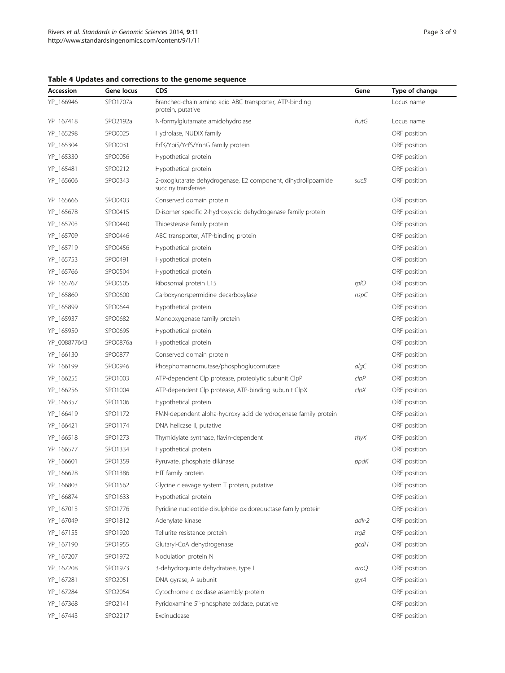| Accession    | Gene locus | CDS                                                                                 | Gene       | Type of change |
|--------------|------------|-------------------------------------------------------------------------------------|------------|----------------|
| YP_166946    | SPO1707a   | Branched-chain amino acid ABC transporter, ATP-binding<br>protein, putative         |            | Locus name     |
| YP_167418    | SPO2192a   | N-formylglutamate amidohydrolase                                                    | hutG       | Locus name     |
| YP_165298    | SPO0025    | Hydrolase, NUDIX family                                                             |            | ORF position   |
| YP_165304    | SPO0031    | ErfK/YbiS/YcfS/YnhG family protein                                                  |            | ORF position   |
| YP_165330    | SPO0056    | Hypothetical protein                                                                |            | ORF position   |
| YP_165481    | SPO0212    | Hypothetical protein                                                                |            | ORF position   |
| YP_165606    | SPO0343    | 2-oxoglutarate dehydrogenase, E2 component, dihydrolipoamide<br>succinyltransferase | sucB       | ORF position   |
| YP_165666    | SPO0403    | Conserved domain protein                                                            |            | ORF position   |
| YP_165678    | SPO0415    | D-isomer specific 2-hydroxyacid dehydrogenase family protein                        |            | ORF position   |
| YP_165703    | SPO0440    | Thioesterase family protein                                                         |            | ORF position   |
| YP_165709    | SPO0446    | ABC transporter, ATP-binding protein                                                |            | ORF position   |
| YP_165719    | SPO0456    | Hypothetical protein                                                                |            | ORF position   |
| YP_165753    | SPO0491    | Hypothetical protein                                                                |            | ORF position   |
| YP_165766    | SPO0504    | Hypothetical protein                                                                |            | ORF position   |
| YP_165767    | SPO0505    | Ribosomal protein L15                                                               | rplO       | ORF position   |
| YP 165860    | SPO0600    | Carboxynorspermidine decarboxylase                                                  | nspC       | ORF position   |
| YP_165899    | SPO0644    | Hypothetical protein                                                                |            | ORF position   |
| YP_165937    | SPO0682    | Monooxygenase family protein                                                        |            | ORF position   |
| YP_165950    | SPO0695    | Hypothetical protein                                                                |            | ORF position   |
| YP_008877643 | SPO0876a   | Hypothetical protein                                                                |            | ORF position   |
| YP_166130    | SPO0877    | Conserved domain protein                                                            |            | ORF position   |
| YP_166199    | SPO0946    | Phosphomannomutase/phosphoglucomutase                                               | $a$ lg $C$ | ORF position   |
| YP_166255    | SPO1003    | ATP-dependent Clp protease, proteolytic subunit ClpP                                | clpP       | ORF position   |
| YP_166256    | SPO1004    | ATP-dependent Clp protease, ATP-binding subunit ClpX                                | clpX       | ORF position   |
| YP_166357    | SPO1106    | Hypothetical protein                                                                |            | ORF position   |
| YP_166419    | SPO1172    | FMN-dependent alpha-hydroxy acid dehydrogenase family protein                       |            | ORF position   |
| YP_166421    | SPO1174    | DNA helicase II, putative                                                           |            | ORF position   |
| YP_166518    | SPO1273    | Thymidylate synthase, flavin-dependent                                              | thyX       | ORF position   |
| YP_166577    | SPO1334    | Hypothetical protein                                                                |            | ORF position   |
| YP_166601    | SPO1359    | Pyruvate, phosphate dikinase                                                        | ppdK       | ORF position   |
| YP_166628    | SPO1386    | HIT family protein                                                                  |            | ORF position   |
| YP_166803    | SPO1562    | Glycine cleavage system T protein, putative                                         |            | ORF position   |
| YP_166874    | SPO1633    | Hypothetical protein                                                                |            | ORF position   |
| YP_167013    | SPO1776    | Pyridine nucleotide-disulphide oxidoreductase family protein                        |            | ORF position   |
| YP_167049    | SPO1812    | Adenylate kinase                                                                    | $adk-2$    | ORF position   |
| YP_167155    | SPO1920    | Tellurite resistance protein                                                        | trgB       | ORF position   |
| YP_167190    | SPO1955    | Glutaryl-CoA dehydrogenase                                                          | gcdH       | ORF position   |
| YP_167207    | SPO1972    | Nodulation protein N                                                                |            | ORF position   |
| YP_167208    | SPO1973    | 3-dehydroquinte dehydratase, type II                                                | aroQ       | ORF position   |
| YP_167281    | SPO2051    | DNA gyrase, A subunit                                                               | gyrA       | ORF position   |
| YP_167284    | SPO2054    | Cytochrome c oxidase assembly protein                                               |            | ORF position   |
| YP_167368    | SPO2141    | Pyridoxamine 5"-phosphate oxidase, putative                                         |            | ORF position   |
| YP_167443    | SPO2217    | Excinuclease                                                                        |            | ORF position   |

## <span id="page-2-0"></span>Table 4 Updates and corrections to the genome sequence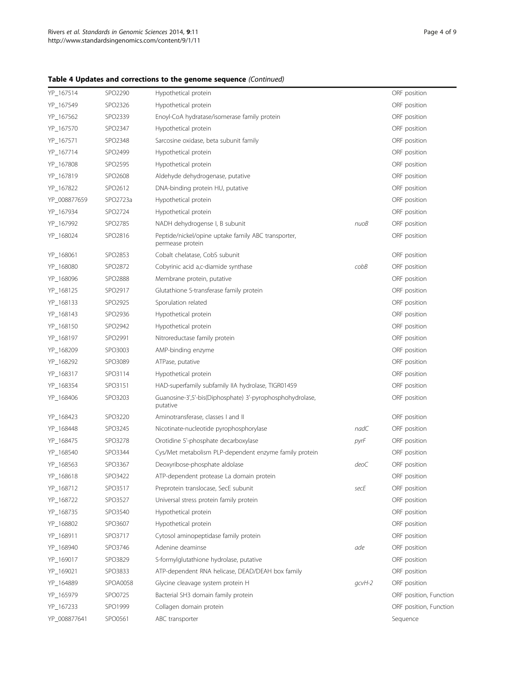## Table 4 Updates and corrections to the genome sequence (Continued)

| YP_167514    | SPO2290         | Hypothetical protein                                                    |            | ORF position           |
|--------------|-----------------|-------------------------------------------------------------------------|------------|------------------------|
| YP_167549    | SPO2326         | Hypothetical protein                                                    |            | ORF position           |
| YP_167562    | SPO2339         | Enoyl-CoA hydratase/isomerase family protein                            |            | ORF position           |
| YP_167570    | SPO2347         | Hypothetical protein                                                    |            | ORF position           |
| YP_167571    | SPO2348         | Sarcosine oxidase, beta subunit family                                  |            | ORF position           |
| YP_167714    | SPO2499         | Hypothetical protein                                                    |            | ORF position           |
| YP_167808    | SPO2595         | Hypothetical protein                                                    |            | ORF position           |
| YP_167819    | SPO2608         | Aldehyde dehydrogenase, putative                                        |            | ORF position           |
| YP_167822    | SPO2612         | DNA-binding protein HU, putative                                        |            | ORF position           |
| YP_008877659 | SPO2723a        | Hypothetical protein                                                    |            | ORF position           |
| YP_167934    | SPO2724         | Hypothetical protein                                                    |            | ORF position           |
| YP_167992    | SPO2785         | NADH dehydrogense I, B subunit                                          | nuoB       | ORF position           |
| YP_168024    | SPO2816         | Peptide/nickel/opine uptake family ABC transporter,<br>permease protein |            | ORF position           |
| YP_168061    | SPO2853         | Cobalt chelatase, CobS subunit                                          |            | ORF position           |
| YP_168080    | SPO2872         | Cobyrinic acid a,c-diamide synthase                                     | $c$ ob $B$ | ORF position           |
| YP_168096    | SPO2888         | Membrane protein, putative                                              |            | ORF position           |
| YP_168125    | SPO2917         | Glutathione S-transferase family protein                                |            | ORF position           |
| YP_168133    | SPO2925         | Sporulation related                                                     |            | ORF position           |
| YP_168143    | SPO2936         | Hypothetical protein                                                    |            | ORF position           |
| YP 168150    | SPO2942         | Hypothetical protein                                                    |            | ORF position           |
| YP_168197    | SPO2991         | Nitroreductase family protein                                           |            | ORF position           |
| YP_168209    | SPO3003         | AMP-binding enzyme                                                      |            | ORF position           |
| YP_168292    | SPO3089         | ATPase, putative                                                        |            | ORF position           |
| YP_168317    | SPO3114         | Hypothetical protein                                                    |            | ORF position           |
| YP_168354    | SPO3151         | HAD-superfamily subfamily IIA hydrolase, TIGR01459                      |            | ORF position           |
| YP_168406    | SPO3203         | Guanosine-3',5'-bis(Diphosphate) 3'-pyrophosphohydrolase,<br>putative   |            | ORF position           |
| YP_168423    | SPO3220         | Aminotransferase, classes I and II                                      |            | ORF position           |
| YP_168448    | SPO3245         | Nicotinate-nucleotide pyrophosphorylase                                 | nadC       | ORF position           |
| YP_168475    | SPO3278         | Orotidine 5'-phosphate decarboxylase                                    | pyrF       | ORF position           |
| YP_168540    | SPO3344         | Cys/Met metabolism PLP-dependent enzyme family protein                  |            | ORF position           |
| YP 168563    | SPO3367         | Deoxyribose-phosphate aldolase                                          | deoC       | ORF position           |
| YP_168618    | SPO3422         | ATP-dependent protease La domain protein                                |            | ORF position           |
| YP_168712    | SPO3517         | Preprotein translocase, SecE subunit                                    | secE       | ORF position           |
| YP_168722    | SPO3527         | Universal stress protein family protein                                 |            | ORF position           |
| YP_168735    | SPO3540         | Hypothetical protein                                                    |            | ORF position           |
| YP_168802    | SPO3607         | Hypothetical protein                                                    |            | ORF position           |
| YP_168911    | SPO3717         | Cytosol aminopeptidase family protein                                   |            | ORF position           |
| YP_168940    | SPO3746         | Adenine deaminse                                                        | ade        | ORF position           |
| YP_169017    | SPO3829         | S-formylglutathione hydrolase, putative                                 |            | ORF position           |
| YP_169021    | SPO3833         | ATP-dependent RNA helicase, DEAD/DEAH box family                        |            | ORF position           |
| YP_164889    | <b>SPOA0058</b> | Glycine cleavage system protein H                                       | $qcvH-2$   | ORF position           |
| YP_165979    | SPO0725         | Bacterial SH3 domain family protein                                     |            | ORF position, Function |
| YP_167233    | SPO1999         | Collagen domain protein                                                 |            | ORF position, Function |
| YP_008877641 | SPO0561         | ABC transporter                                                         |            | Sequence               |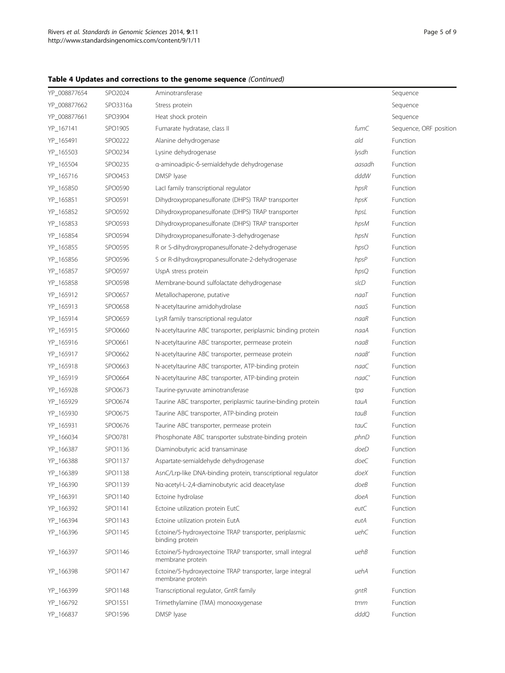## Table 4 Updates and corrections to the genome sequence (Continued)

| YP_008877654 | SPO2024  | Aminotransferase                                                              |            | Sequence               |
|--------------|----------|-------------------------------------------------------------------------------|------------|------------------------|
| YP_008877662 | SPO3316a | Stress protein                                                                |            | Sequence               |
| YP_008877661 | SPO3904  | Heat shock protein                                                            |            | Sequence               |
| YP_167141    | SPO1905  | Fumarate hydratase, class II                                                  | fumC       | Sequence, ORF position |
| YP 165491    | SPO0222  | Alanine dehydrogenase                                                         | ald        | Function               |
| YP_165503    | SPO0234  | Lysine dehydrogenase                                                          | lysdh      | Function               |
| YP_165504    | SPO0235  | a-aminoadipic-δ-semialdehyde dehydrogenase                                    | aasadh     | Function               |
| YP_165716    | SPO0453  | DMSP Iyase                                                                    | dddW       | Function               |
| YP_165850    | SPO0590  | Lacl family transcriptional regulator                                         | hpsR       | Function               |
| YP_165851    | SPO0591  | Dihydroxypropanesulfonate (DHPS) TRAP transporter                             | hpsK       | Function               |
| YP_165852    | SPO0592  | Dihydroxypropanesulfonate (DHPS) TRAP transporter                             | hpsL       | Function               |
| YP_165853    | SPO0593  | Dihydroxypropanesulfonate (DHPS) TRAP transporter                             | hpsM       | Function               |
| YP_165854    | SPO0594  | Dihydroxypropanesulfonate-3-dehydrogenase                                     | hpsN       | Function               |
| YP_165855    | SPO0595  | R or S-dihydroxypropanesulfonate-2-dehydrogenase                              | hpsO       | Function               |
| YP_165856    | SPO0596  | S or R-dihydroxypropanesulfonate-2-dehydrogenase                              | hpsP       | Function               |
| YP_165857    | SPO0597  | UspA stress protein                                                           | hpsQ       | Function               |
| YP_165858    | SPO0598  | Membrane-bound sulfolactate dehydrogenase                                     | slcD       | Function               |
| YP_165912    | SPO0657  | Metallochaperone, putative                                                    | naaT       | Function               |
| YP_165913    | SPO0658  | N-acetyltaurine amidohydrolase                                                | naaS       | Function               |
| YP_165914    | SPO0659  | LysR family transcriptional regulator                                         | naaR       | Function               |
| YP_165915    | SPO0660  | N-acetyltaurine ABC transporter, periplasmic binding protein                  | naaA       | Function               |
| YP_165916    | SPO0661  | N-acetyltaurine ABC transporter, permease protein                             | naaB       | Function               |
| YP_165917    | SPO0662  | N-acetyltaurine ABC transporter, permease protein                             | naaB'      | Function               |
| YP_165918    | SPO0663  | N-acetyltaurine ABC transporter, ATP-binding protein                          | naaC       | Function               |
| YP_165919    | SPO0664  | N-acetyltaurine ABC transporter, ATP-binding protein                          | naaC'      | Function               |
| YP_165928    | SPO0673  | Taurine-pyruvate aminotransferase                                             | tpa        | Function               |
| YP_165929    | SPO0674  | Taurine ABC transporter, periplasmic taurine-binding protein                  | tauA       | Function               |
| YP_165930    | SPO0675  | Taurine ABC transporter, ATP-binding protein                                  | tauB       | Function               |
| YP 165931    | SPO0676  | Taurine ABC transporter, permease protein                                     | tauC       | Function               |
| YP_166034    | SPO0781  | Phosphonate ABC transporter substrate-binding protein                         | phnD       | Function               |
| YP_166387    | SPO1136  | Diaminobutyric acid transaminase                                              | doeD       | Function               |
| YP_166388    | SPO1137  | Aspartate-semialdehyde dehydrogenase                                          | doeC       | Function               |
| YP_166389    | SPO1138  | AsnC/Lrp-like DNA-binding protein, transcriptional regulator                  | doeX       | Function               |
| YP_166390    | SPO1139  | Na-acetyl-L-2,4-diaminobutyric acid deacetylase                               | doeB       | Function               |
| YP_166391    | SPO1140  | Ectoine hydrolase                                                             | doeA       | Function               |
| YP_166392    | SPO1141  | Ectoine utilization protein EutC                                              | $e$ ut $C$ | Function               |
| YP_166394    | SPO1143  | Ectoine utilization protein EutA                                              | eutA       | Function               |
| YP_166396    | SPO1145  | Ectoine/5-hydroxyectoine TRAP transporter, periplasmic                        | uehC       | Function               |
|              |          | binding protein                                                               |            |                        |
| YP_166397    | SPO1146  | Ectoine/5-hydroxyectoine TRAP transporter, small integral<br>membrane protein | uehB       | Function               |
| YP_166398    | SPO1147  | Ectoine/5-hydroxyectoine TRAP transporter, large integral<br>membrane protein | uehA       | Function               |
| YP_166399    | SPO1148  | Transcriptional regulator, GntR family                                        | gntR       | Function               |
| YP_166792    | SPO1551  | Trimethylamine (TMA) monooxygenase                                            | tmm        | Function               |
| YP_166837    | SPO1596  | DMSP lyase                                                                    | dddQ       | Function               |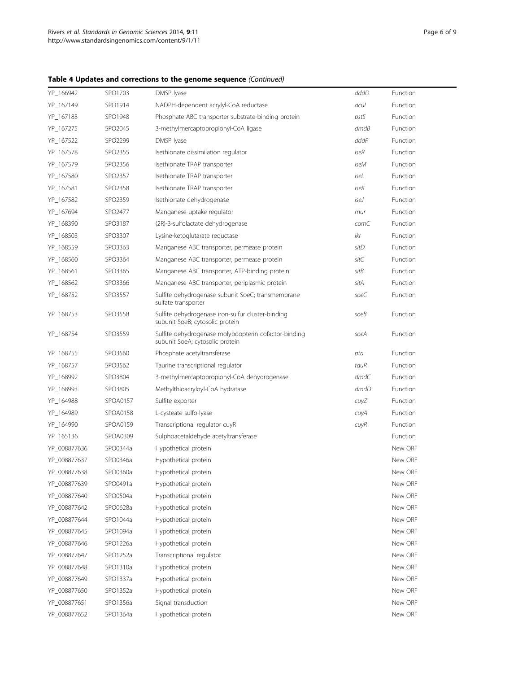## Table 4 Updates and corrections to the genome sequence (Continued)

| YP_166942    | SPO1703  | DMSP lyase                                                                              | dddD | Function        |
|--------------|----------|-----------------------------------------------------------------------------------------|------|-----------------|
| YP_167149    | SPO1914  | NADPH-dependent acrylyl-CoA reductase                                                   | acul | Function        |
| YP_167183    | SPO1948  | Phosphate ABC transporter substrate-binding protein                                     | pstS | Function        |
| YP_167275    | SPO2045  | 3-methylmercaptopropionyl-CoA ligase                                                    | dmdB | Function        |
| YP_167522    | SPO2299  | DMSP Iyase                                                                              | dddP | Function        |
| YP_167578    | SPO2355  | Isethionate dissimilation regulator                                                     | iseR | Function        |
| YP_167579    | SPO2356  | Isethionate TRAP transporter                                                            | iseM | Function        |
| YP_167580    | SPO2357  | Isethionate TRAP transporter                                                            | iseL | Function        |
| YP_167581    | SPO2358  | Isethionate TRAP transporter                                                            | iseK | <b>Function</b> |
| YP_167582    | SPO2359  | Isethionate dehydrogenase                                                               | iseJ | <b>Function</b> |
| YP_167694    | SPO2477  | Manganese uptake regulator                                                              | mur  | Function        |
| YP_168390    | SPO3187  | (2R)-3-sulfolactate dehydrogenase                                                       | comC | Function        |
| YP_168503    | SPO3307  | Lysine-ketoglutarate reductase                                                          | lkr  | Function        |
| YP_168559    | SPO3363  | Manganese ABC transporter, permease protein                                             | sitD | Function        |
| YP_168560    | SPO3364  | Manganese ABC transporter, permease protein                                             | sitC | Function        |
| YP_168561    | SPO3365  | Manganese ABC transporter, ATP-binding protein                                          | sitB | Function        |
| YP_168562    | SPO3366  | Manganese ABC transporter, periplasmic protein                                          | sitA | Function        |
| YP_168752    | SPO3557  | Sulfite dehydrogenase subunit SoeC; transmembrane<br>sulfate transporter                | soeC | Function        |
| YP_168753    | SPO3558  | Sulfite dehydrogenase iron-sulfur cluster-binding<br>subunit SoeB; cytosolic protein    | soeB | Function        |
| YP_168754    | SPO3559  | Sulfite dehydrogenase molybdopterin cofactor-binding<br>subunit SoeA; cytosolic protein | soeA | Function        |
| YP_168755    | SPO3560  | Phosphate acetyltransferase                                                             | pta  | Function        |
| YP_168757    | SPO3562  | Taurine transcriptional regulator                                                       | tauR | <b>Function</b> |
| YP_168992    | SPO3804  | 3-methylmercaptopropionyl-CoA dehydrogenase                                             | dmdC | Function        |
| YP_168993    | SPO3805  | Methylthioacryloyl-CoA hydratase                                                        | dmdD | Function        |
| YP_164988    | SPOA0157 | Sulfite exporter                                                                        | cuyZ | Function        |
| YP_164989    | SPOA0158 | L-cysteate sulfo-lyase                                                                  | cuyA | Function        |
| YP_164990    | SPOA0159 | Transcriptional regulator cuyR                                                          | cuyR | Function        |
| YP 165136    | SPOA0309 | Sulphoacetaldehyde acetyltransferase                                                    |      | Function        |
| YP_008877636 | SPO0344a | Hypothetical protein                                                                    |      | New ORF         |
| YP_008877637 | SPO0346a | Hypothetical protein                                                                    |      | New ORF         |
| YP_008877638 | SPO0360a | Hypothetical protein                                                                    |      | New ORF         |
| YP_008877639 | SPO0491a | Hypothetical protein                                                                    |      | New ORF         |
| YP_008877640 | SPO0504a | Hypothetical protein                                                                    |      | New ORF         |
| YP_008877642 | SPO0628a | Hypothetical protein                                                                    |      | New ORF         |
| YP 008877644 | SPO1044a | Hypothetical protein                                                                    |      | New ORF         |
| YP 008877645 | SPO1094a | Hypothetical protein                                                                    |      | New ORF         |
| YP_008877646 | SPO1226a | Hypothetical protein                                                                    |      | New ORF         |
| YP_008877647 | SPO1252a | Transcriptional regulator                                                               |      | New ORF         |
| YP_008877648 | SPO1310a | Hypothetical protein                                                                    |      | New ORF         |
| YP_008877649 | SPO1337a | Hypothetical protein                                                                    |      | New ORF         |
| YP_008877650 | SPO1352a | Hypothetical protein                                                                    |      | New ORF         |
| YP_008877651 | SPO1356a | Signal transduction                                                                     |      | New ORF         |
| YP_008877652 | SPO1364a | Hypothetical protein                                                                    |      | New ORF         |
|              |          |                                                                                         |      |                 |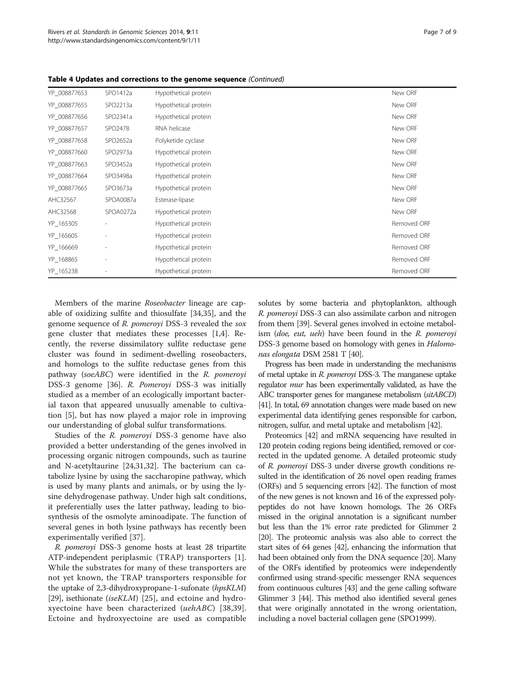| YP_008877653 | SPO1412a                 | Hypothetical protein | New ORF     |
|--------------|--------------------------|----------------------|-------------|
| YP 008877655 | SPO2213a                 | Hypothetical protein | New ORF     |
| YP_008877656 | SPO2341a                 | Hypothetical protein | New ORF     |
| YP 008877657 | SPO2478                  | RNA helicase         | New ORF     |
| YP 008877658 | SPO2652a                 | Polyketide cyclase   | New ORF     |
| YP_008877660 | SPO2973a                 | Hypothetical protein | New ORF     |
| YP 008877663 | SPO3452a                 | Hypothetical protein | New ORF     |
| YP 008877664 | SPO3498a                 | Hypothetical protein | New ORF     |
| YP 008877665 | SPO3673a                 | Hypothetical protein | New ORF     |
| AHC32567     | SPOA0087a                | Esterase-lipase      | New ORF     |
| AHC32568     | SPOA0272a                | Hypothetical protein | New ORF     |
| YP_165305    |                          | Hypothetical protein | Removed ORF |
| YP_165605    | $\overline{\phantom{a}}$ | Hypothetical protein | Removed ORF |
| YP_166669    | $\overline{\phantom{a}}$ | Hypothetical protein | Removed ORF |
| YP_168865    | ٠                        | Hypothetical protein | Removed ORF |
| YP_165238    |                          | Hypothetical protein | Removed ORF |
|              |                          |                      |             |

Table 4 Updates and corrections to the genome sequence (Continued)

Members of the marine [Roseobacter](http://dx.doi.org/10.1601/nm.1134) lineage are capable of oxidizing sulfite and thiosulfate [[34](#page-8-0),[35](#page-8-0)], and the genome sequence of [R. pomeroyi](http://dx.doi.org/10.1601/nm.11006) DSS-3 revealed the sox gene cluster that mediates these processes [\[1,4](#page-7-0)]. Recently, the reverse dissimilatory sulfite reductase gene cluster was found in sediment-dwelling roseobacters, and homologs to the sulfite reductase genes from this pathway (soeABC) were identified in the [R. pomeroyi](http://dx.doi.org/10.1601/nm.11006) DSS-3 genome [[36](#page-8-0)]. [R. Pomeroyi](http://dx.doi.org/10.1601/nm.11006) DSS-3 was initially studied as a member of an ecologically important bacterial taxon that appeared unusually amenable to cultivation [\[5\]](#page-7-0), but has now played a major role in improving our understanding of global sulfur transformations.

Studies of the *[R. pomeroyi](http://dx.doi.org/10.1601/nm.11006)* DSS-3 genome have also provided a better understanding of the genes involved in processing organic nitrogen compounds, such as taurine and N-acetyltaurine [[24,31,32\]](#page-8-0). The bacterium can catabolize lysine by using the saccharopine pathway, which is used by many plants and animals, or by using the lysine dehydrogenase pathway. Under high salt conditions, it preferentially uses the latter pathway, leading to biosynthesis of the osmolyte aminoadipate. The function of several genes in both lysine pathways has recently been experimentally verified [\[37\]](#page-8-0).

[R. pomeroyi](http://dx.doi.org/10.1601/nm.11006) DSS-3 genome hosts at least 28 tripartite ATP-independent periplasmic (TRAP) transporters [[1](#page-7-0)]. While the substrates for many of these transporters are not yet known, the TRAP transporters responsible for the uptake of 2,3-dihydroxypropane-1-sufonate (hpsKLM) [[29](#page-8-0)], isethionate (*iseKLM*) [\[25\]](#page-8-0), and ectoine and hydroxyectoine have been characterized (uehABC) [[38,39](#page-8-0)]. Ectoine and hydroxyectoine are used as compatible solutes by some bacteria and phytoplankton, although [R. pomeroyi](http://dx.doi.org/10.1601/nm.11006) DSS-3 can also assimilate carbon and nitrogen from them [\[39](#page-8-0)]. Several genes involved in ectoine metabolism (doe, eut, ueh) have been found in the [R. pomeroyi](http://dx.doi.org/10.1601/nm.11006) DSS-3 genome based on homology with genes in [Halomo](http://dx.doi.org/10.1601/nm.2494)[nas elongata](http://dx.doi.org/10.1601/nm.2494) DSM 2581 T [\[40\]](#page-8-0).

Progress has been made in understanding the mechanisms of metal uptake in [R. pomeroyi](http://dx.doi.org/10.1601/nm.11006) DSS-3. The manganese uptake regulator *mur* has been experimentally validated, as have the ABC transporter genes for manganese metabolism (sitABCD) [[41\]](#page-8-0). In total, 69 annotation changes were made based on new experimental data identifying genes responsible for carbon, nitrogen, sulfur, and metal uptake and metabolism [\[42\]](#page-8-0).

Proteomics [\[42](#page-8-0)] and mRNA sequencing have resulted in 120 protein coding regions being identified, removed or corrected in the updated genome. A detailed proteomic study of [R. pomeroyi](http://dx.doi.org/10.1601/nm.11006) DSS-3 under diverse growth conditions resulted in the identification of 26 novel open reading frames (ORFs) and 5 sequencing errors [\[42\]](#page-8-0). The function of most of the new genes is not known and 16 of the expressed polypeptides do not have known homologs. The 26 ORFs missed in the original annotation is a significant number but less than the 1% error rate predicted for Glimmer 2 [[20\]](#page-7-0). The proteomic analysis was also able to correct the start sites of 64 genes [\[42](#page-8-0)], enhancing the information that had been obtained only from the DNA sequence [\[20](#page-7-0)]. Many of the ORFs identified by proteomics were independently confirmed using strand-specific messenger RNA sequences from continuous cultures [\[43\]](#page-8-0) and the gene calling software Glimmer 3 [\[44\]](#page-8-0). This method also identified several genes that were originally annotated in the wrong orientation, including a novel bacterial collagen gene (SPO1999).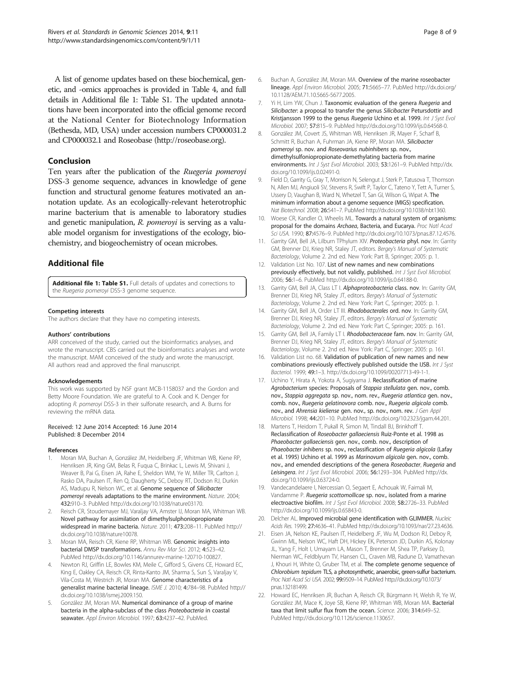<span id="page-7-0"></span>A list of genome updates based on these biochemical, genetic, and -omics approaches is provided in Table [4](#page-2-0), and full details in Additional file 1: Table S1. The updated annotations have been incorporated into the official genome record at the National Center for Biotechnology Information (Bethesda, MD, USA) under accession numbers CP000031.2 and CP000032.1 and Roseobase [\(http://roseobase.org\)](http://roseobase.org).

#### Conclusion

Ten years after the publication of the Ruegeria pomeroyi DSS-3 genome sequence, advances in knowledge of gene function and structural genome features motivated an annotation update. As an ecologically-relevant heterotrophic marine bacterium that is amenable to laboratory studies and genetic manipulation, R. pomeroyi is serving as a valuable model organism for investigations of the ecology, biochemistry, and biogeochemistry of ocean microbes.

## Additional file

[Additional file 1: Table S1.](http://www.biomedcentral.com/content/supplementary/1944-3277-9-11-S1.docx) Full details of updates and corrections to the Ruegeria pomeroyi DSS-3 genome sequence.

#### Competing interests

The authors declare that they have no competing interests.

#### Authors' contributions

ARR conceived of the study, carried out the bioinformatics analyses, and wrote the manuscript. CBS carried out the bioinformatics analyses and wrote the manuscript. MAM conceived of the study and wrote the manuscript. All authors read and approved the final manuscript.

#### Acknowledgements

This work was supported by NSF grant MCB-1158037 and the Gordon and Betty Moore Foundation. We are grateful to A. Cook and K. Denger for adopting R. pomeroyi DSS-3 in their sulfonate research, and A. Burns for reviewing the mRNA data.

#### Received: 12 June 2014 Accepted: 16 June 2014 Published: 8 December 2014

#### References

- 1. Moran MA, Buchan A, González JM, Heidelberg JF, Whitman WB, Kiene RP, Henriksen JR, King GM, Belas R, Fuqua C, Brinkac L, Lewis M, Shivani J, Weaver B, Pai G, Eisen JA, Rahe E, Sheldon WM, Ye W, Miller TR, Carlton J, Rasko DA, Paulsen IT, Ren Q, Daugherty SC, Deboy RT, Dodson RJ, Durkin AS, Madupu R, Nelson WC, et al. Genome sequence of Silicibacter pomeroyi reveals adaptations to the marine environment. Nature. 2004; 432:910–3. PubMed http://dx.doi.org/10.1038/nature03170.
- Reisch CR, Stoudemayer MJ, Varaljay VA, Amster IJ, Moran MA, Whitman WB. Novel pathway for assimilation of dimethylsulphoniopropionate widespread in marine bacteria. Nature. 2011; 473:208–11. PubMed http:// dx.doi.org/10.1038/nature10078.
- 3. Moran MA, Reisch CR, Kiene RP, Whitman WB. Genomic insights into bacterial DMSP transformations. Annu Rev Mar Sci. 2012; 4:523–42. PubMed http://dx.doi.org/10.1146/annurev-marine-120710-100827.
- 4. Newton RJ, Griffin LE, Bowles KM, Meile C, Gifford S, Givens CE, Howard EC, King E, Oakley CA, Reisch CR, Rinta-Kanto JM, Sharma S, Sun S, Varaljay V, Vila-Costa M, Westrich JR, Moran MA. Genome characteristics of a generalist marine bacterial lineage. ISME J. 2010; 4:784–98. PubMed http:// dx.doi.org/10.1038/ismej.2009.150.
- 5. González JM, Moran MA. Numerical dominance of a group of marine bacteria in the alpha-subclass of the class Proteobacteria in coastal seawater. Appl Environ Microbiol. 1997; 63:4237-42. PubMed.
- 6. Buchan A, González JM, Moran MA. Overview of the marine roseobacter lineage. Appl Environ Microbiol. 2005; 71:5665–77. PubMed [http://dx.doi.org/](http://dx.doi.org/10.1128/AEM.71.10.5665-5677.2005) [10.1128/AEM.71.10.5665-5677.2005](http://dx.doi.org/10.1128/AEM.71.10.5665-5677.2005).
- 7. Yi H, Lim YW, Chun J. Taxonomic evaluation of the genera Ruegeria and Silicibacter: a proposal to transfer the genus Silicibacter Petursdottir and Kristjansson 1999 to the genus Ruegeria Uchino et al. 1999. Int J Syst Evol Microbiol. 2007; 57:815–9. PubMed http://dx.doi.org/10.1099/ijs.0.64568-0.
- 8. González JM, Covert JS, Whitman WB, Henriksen JR, Mayer F, Scharf B, Schmitt R, Buchan A, Fuhrman JA, Kiene RP, Moran MA. Silicibacter pomeroyi sp. nov. and Roseovarius nubinhibens sp. nov., dimethylsulfoniopropionate-demethylating bacteria from marine environments. Int J Syst Evol Microbiol. 2003; 53:1261-9. PubMed [http://dx.](http://dx.doi.org/10.1099/ijs.0.02491-0) [doi.org/10.1099/ijs.0.02491-0](http://dx.doi.org/10.1099/ijs.0.02491-0).
- 9. Field D, Garrity G, Gray T, Morrison N, Selengut J, Sterk P, Tatusova T, Thomson N, Allen MJ, Angiuoli SV, Stevens R, Swift P, Taylor C, Tateno Y, Tett A, Turner S, Ussery D, Vaughan B, Ward N, Whetzel T, San GI, Wilson G, Wipat A. The minimum information about a genome sequence (MIGS) specification. Nat Biotechnol. 2008; 26:541-7. PubMed<http://dx.doi.org/10.1038/nbt1360>.
- 10. Woese CR, Kandler O, Wheelis ML. Towards a natural system of organisms: proposal for the domains Archaea, Bacteria, and Eucarya. Proc Natl Acad Sci USA. 1990; 87:4576-9. PubMed<http://dx.doi.org/10.1073/pnas.87.12.4576>.
- 11. Garrity GM, Bell JA, Lilburn TPhylum XIV. Proteobacteria phyl. nov. In: Garrity GM, Brenner DJ, Krieg NR, Staley JT, editors. Bergey's Manual of Systematic Bacteriology, Volume 2. 2nd ed. New York: Part B, Springer; 2005: p. 1.
- 12. Validation List No. 107. List of new names and new combinations previously effectively, but not validly, published. Int J Syst Evol Microbiol. 2006; 56:1–6. PubMed [http://dx.doi.org/10.1099/ijs.0.64188-0.](http://dx.doi.org/10.1099/ijs.0.64188-0)
- 13. Garrity GM, Bell JA, Class LT I. Alphaproteobacteria class. nov. In: Garrity GM, Brenner DJ, Krieg NR, Staley JT, editors. Bergey's Manual of Systematic Bacteriology, Volume 2. 2nd ed. New York: Part C, Springer; 2005: p. 1.
- 14. Garrity GM, Bell JA, Order LT III. Rhodobacterales ord. nov. In: Garrity GM, Brenner DJ, Krieg NR, Staley JT, editors. Bergey's Manual of Systematic Bacteriology, Volume 2. 2nd ed. New York: Part C, Springer; 2005: p. 161.
- 15. Garrity GM, Bell JA, Family LT I. Rhodobacteraceae fam. nov. In: Garrity GM, Brenner DJ, Krieg NR, Staley JT, editors. Bergey's Manual of Systematic Bacteriology, Volume 2. 2nd ed. New York: Part C, Springer; 2005: p. 161.
- 16. Validation List no. 68. Validation of publication of new names and new combinations previously effectively published outside the IJSB. Int J Syst Bacteriol. 1999; 49:1–3. [http://dx.doi.org/10.1099/00207713-49-1-1.](http://dx.doi.org/10.1099/00207713-49-1-1)
- 17. Uchino Y, Hirata A, Yokota A, Sugiyama J. Reclassification of marine Agrobacterium species: Proposals of Stappia stellulata gen. nov., comb. nov., Stappia aggregata sp. nov., nom. rev., Ruegeria atlantica gen. nov., comb. nov., Ruegeria gelatinovora comb. nov., Ruegeria algicola comb. nov., and Ahrensia kieliense gen. nov., sp. nov., nom. rev. J Gen Appl Microbiol. 1998; 44:201–10. PubMed<http://dx.doi.org/10.2323/jgam.44.201>.
- 18. Martens T, Heidorn T, Pukall R, Simon M, Tindall BJ, Brinkhoff T. Reclassification of Roseobacter gallaeciensis Ruiz-Ponte et al. 1998 as Phaeobacter gallaeciensis gen. nov., comb. nov., description of Phaeobacter inhibens sp. nov., reclassification of Ruegeria algicola (Lafay et al. 1995) Uchino et al. 1999 as Marinovum algicola gen. nov., comb. nov., and emended descriptions of the genera Roseobacter, Ruegeria and Leisingera. Int J Syst Evol Microbiol. 2006; 56:1293-304. PubMed [http://dx.](http://dx.doi.org/10.1099/ijs.0.63724-0) [doi.org/10.1099/ijs.0.63724-0](http://dx.doi.org/10.1099/ijs.0.63724-0).
- 19. Vandecandelaere I, Nercessian O, Segaert E, Achouak W, Faimali M, Vandamme P. Ruegeria scottomollicae sp. nov., isolated from a marine electroactive biofilm. Int J Syst Evol Microbiol. 2008; 58:2726–33. PubMed <http://dx.doi.org/10.1099/ijs.0.65843-0>.
- 20. Delcher AL. Improved microbial gene identification with GLIMMER. Nucleic Acids Res. 1999; 27:4636–41. PubMed [http://dx.doi.org/10.1093/nar/27.23.4636.](http://dx.doi.org/10.1093/nar/27.23.4636)
- 21. Eisen JA, Nelson KE, Paulsen IT, Heidelberg JF, Wu M, Dodson RJ, Deboy R, Gwinn ML, Nelson WC, Haft DH, Hickey EK, Peterson JD, Durkin AS, Kolonay JL, Yang F, Holt I, Umayam LA, Mason T, Brenner M, Shea TP, Parksey D, Nierman WC, Feldblyum TV, Hansen CL, Craven MB, Radune D, Vamathevan J, Khouri H, White O, Gruber TM, et al. The complete genome sequence of Chlorobium tepidum TLS, a photosynthetic, anaerobic, green-sulfur bacterium. Proc Natl Acad Sci USA. 2002; 99:9509–14. PubMed [http://dx.doi.org/10.1073/](http://dx.doi.org/10.1073/pnas.132181499) [pnas.132181499.](http://dx.doi.org/10.1073/pnas.132181499)
- 22. Howard EC, Henriksen JR, Buchan A, Reisch CR, Bürgmann H, Welsh R, Ye W, González JM, Mace K, Joye SB, Kiene RP, Whitman WB, Moran MA. Bacterial taxa that limit sulfur flux from the ocean. Science. 2006; 314:649–52. PubMed<http://dx.doi.org/10.1126/science.1130657>.